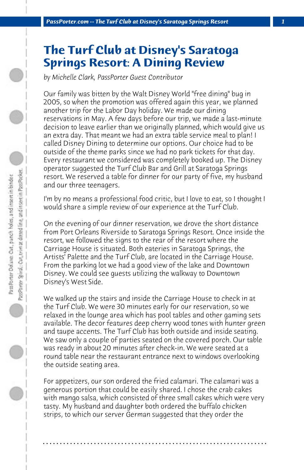## **The Turf Club at Disney's Saratoga Springs Resort: A Dining Review**

*by Michelle Clark, PassPorter Guest Contributor*

Our family was bitten by the Walt Disney World "free dining" bug in 2005, so when the promotion was offered again this year, we planned another trip for the Labor Day holiday. We made our dining reservations in May. A few days before our trip, we made a last-minute decision to leave earlier than we originally planned, which would give us an extra day. That meant we had an extra table service meal to plan! I called Disney Dining to determine our options. Our choice had to be outside of the theme parks since we had no park tickets for that day. Every restaurant we considered was completely booked up. The Disney operator suggested the Turf Club Bar and Grill at Saratoga Springs resort. We reserved a table for dinner for our party of five, my husband and our three teenagers.

I'm by no means a professional food critic, but I love to eat, so I thought I would share a simple review of our experience at the Turf Club.

On the evening of our dinner reservation, we drove the short distance from Port Orleans Riverside to Saratoga Springs Resort. Once inside the resort, we followed the signs to the rear of the resort where the Carriage House is situated. Both eateries in Saratoga Springs, the Artists' Palette and the Turf Club, are located in the Carriage House. From the parking lot we had a good view of the lake and Downtown Disney. We could see guests utilizing the walkway to Downtown Disney's West Side.

We walked up the stairs and inside the Carriage House to check in at the Turf Club. We were 30 minutes early for our reservation, so we relaxed in the lounge area which has pool tables and other gaming sets available. The decor features deep cherry wood tones with hunter green and taupe accents. The Turf Club has both outside and inside seating. We saw only a couple of parties seated on the covered porch. Our table was ready in about 20 minutes after check-in. We were seated at a round table near the restaurant entrance next to windows overlooking the outside seating area.

For appetizers, our son ordered the fried calamari. The calamari was a generous portion that could be easily shared. I chose the crab cakes with mango salsa, which consisted of three small cakes which were very tasty. My husband and daughter both ordered the buffalo chicken strips, to which our server German suggested that they order the

**. . . . . . . . . . . . . . . . . . . . . . . . . . . . . . . . . . . . . . . . . . . . . . . . . . . . . . . . . . . . . . . . . .**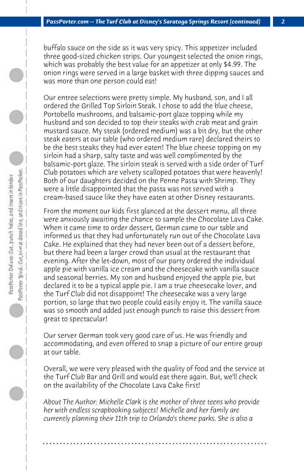buffalo sauce on the side as it was very spicy. This appetizer included three good-sized chicken strips. Our youngest selected the onion rings, which was probably the best value for an appetizer at only \$4.99. The onion rings were served in a large basket with three dipping sauces and was more than one person could eat!

Our entree selections were pretty simple. My husband, son, and I all ordered the Grilled Top Sirloin Steak. I chose to add the blue cheese, Portobello mushrooms, and balsamic-port glaze topping while my husband and son decided to top their steaks with crab meat and grain mustard sauce. My steak (ordered medium) was a bit dry, but the other steak eaters at our table (who ordered medium rare) declared theirs to be the best steaks they had ever eaten! The blue cheese topping on my sirloin had a sharp, salty taste and was well complimented by the balsamic-port glaze. The sirloin steak is served with a side order of Turf Club potatoes which are velvety scalloped potatoes that were heavenly! Both of our daughters decided on the Penne Pasta with Shrimp. They were a little disappointed that the pasta was not served with a cream-based sauce like they have eaten at other Disney restaurants.

From the moment our kids first glanced at the dessert menu, all three were anxiously awaiting the chance to sample the Chocolate Lava Cake. When it came time to order dessert, German came to our table and informed us that they had unfortunately run out of the Chocolate Lava Cake. He explained that they had never been out of a dessert before, but there had been a larger crowd than usual at the restaurant that evening. After the let-down, most of our party ordered the individual apple pie with vanilla ice cream and the cheesecake with vanilla sauce and seasonal berries. My son and husband enjoyed the apple pie, but declared it to be a typical apple pie. I am a true cheesecake lover, and the Turf Club did not disappoint! The cheesecake was a very large portion, so large that two people could easily enjoy it. The vanilla sauce was so smooth and added just enough punch to raise this dessert from great to spectacular!

Our server German took very good care of us. He was friendly and accommodating, and even offered to snap a picture of our entire group at our table.

Overall, we were very pleased with the quality of food and the service at the Turf Club Bar and Grill and would eat there again. But, we'll check on the availability of the Chocolate Lava Cake first!

*About The Author: Michelle Clark is the mother of three teens who provide her with endless scrapbooking subjects! Michelle and her family are currently planning their 11th trip to Orlando's theme parks. She is also a*

**. . . . . . . . . . . . . . . . . . . . . . . . . . . . . . . . . . . . . . . . . . . . . . . . . . . . . . . . . . . . . . . . . .**